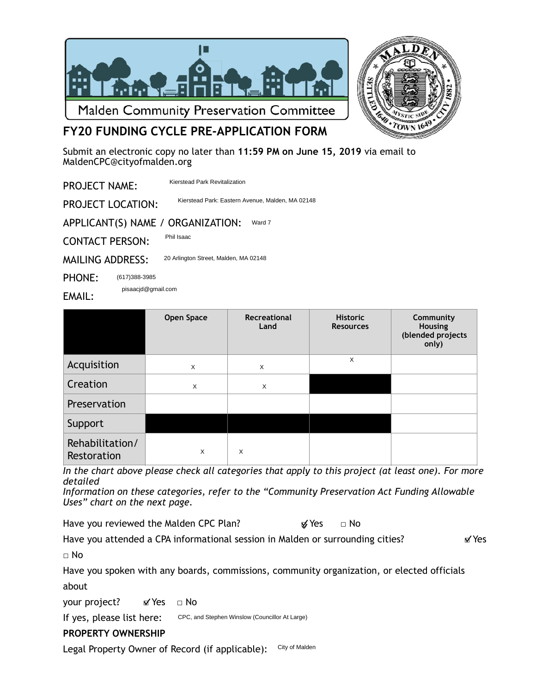



# **FY20 FUNDING CYCLE PRE-APPLICATION FORM**

Submit an electronic copy no later than **11:59 PM on June 15, 2019** via email to [MaldenCPC@cityofmalden.org](mailto:CPCMalden@gmail.com)

PROJECT NAME: Kierstead Park Revitalization

PROJECT LOCATION: Kierstead Park: Eastern Avenue, Malden, MA 02148

APPLICANT(S) NAME / ORGANIZATION: Ward 7

CONTACT PERSON: Phil Isaac

MAILING ADDRESS: 20 Arlington Street, Malden, MA 02148

PHONE: (617)388-3985

pisaacjd@gmail.com

EMAIL:

|                                | Open Space | Recreational<br>Land | <b>Historic</b><br><b>Resources</b> | Community<br>Housing<br>(blended projects<br>only) |
|--------------------------------|------------|----------------------|-------------------------------------|----------------------------------------------------|
| Acquisition                    | X          | X                    | X                                   |                                                    |
| Creation                       | X          | X                    |                                     |                                                    |
| Preservation                   |            |                      |                                     |                                                    |
| Support                        |            |                      |                                     |                                                    |
| Rehabilitation/<br>Restoration | X          | X                    |                                     |                                                    |

*In the chart above please check all categories that apply to this project (at least one). For more detailed* 

*Information on these categories, refer to the "Community Preservation Act Funding Allowable Uses" chart on the next page.* 

Have you reviewed the Malden CPC Plan?  $\mathcal{G}$  Yes  $\Box$  No

Have you attended a CPA informational session in Malden or surrounding cities?  $\blacksquare$  Yes

□ No

Have you spoken with any boards, commissions, community organization, or elected officials about

your project? 
■ Mes □ No

If yes, please list here: CPC, and Stephen Winslow (Councillor At Large)

## **PROPERTY OWNERSHIP**

Legal Property Owner of Record (if applicable): City of Malden